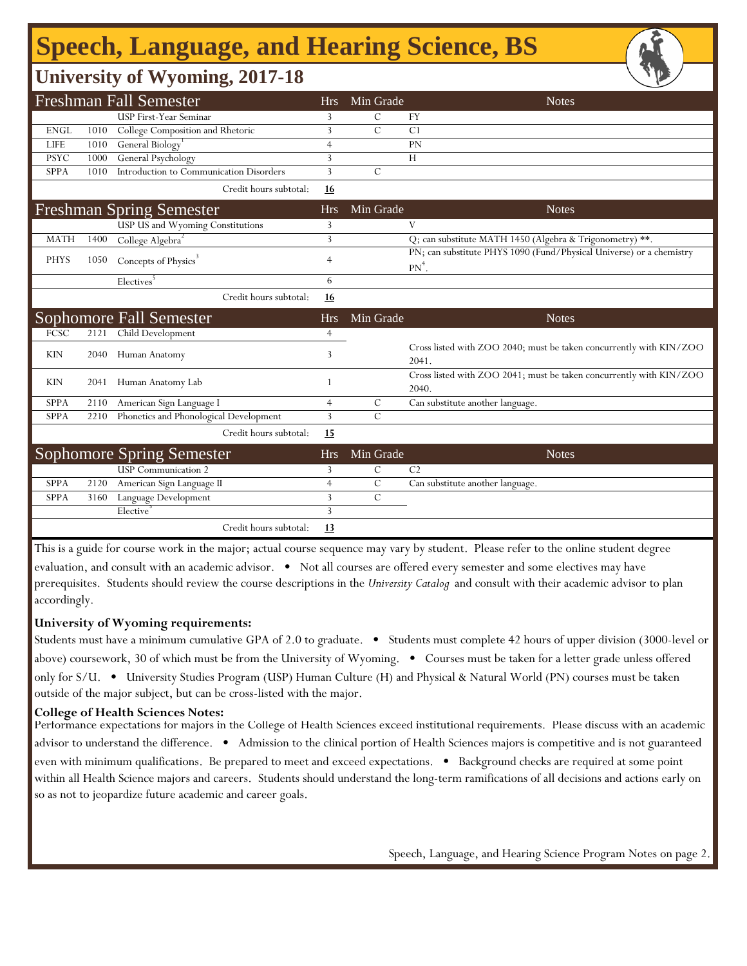# **Speech, Language, and Hearing Science, BS**

## **University of Wyoming, 2017-18**

|             |      | <b>Freshman Fall Semester</b>                       | <b>Hrs</b>     | Min Grade     | <b>Notes</b>                                                                     |
|-------------|------|-----------------------------------------------------|----------------|---------------|----------------------------------------------------------------------------------|
|             |      | <b>USP First-Year Seminar</b>                       | 3              | $\mathcal{C}$ | <b>FY</b>                                                                        |
| <b>ENGL</b> | 1010 | College Composition and Rhetoric                    | 3              | $\mathcal{C}$ | C <sub>1</sub>                                                                   |
| <b>LIFE</b> | 1010 | General Biology <sup>1</sup>                        | $\overline{4}$ |               | PN                                                                               |
| <b>PSYC</b> | 1000 | General Psychology                                  | 3              |               | H                                                                                |
| <b>SPPA</b> | 1010 | Introduction to Communication Disorders             | 3              | $\mathcal{C}$ |                                                                                  |
|             |      | Credit hours subtotal:                              | 16             |               |                                                                                  |
|             |      | <b>Freshman Spring Semester</b>                     | <b>Hrs</b>     | Min Grade     | <b>Notes</b>                                                                     |
|             |      | USP US and Wyoming Constitutions                    | 3              |               | V                                                                                |
| <b>MATH</b> | 1400 | College Algebra <sup>2</sup>                        | 3              |               | Q; can substitute MATH 1450 (Algebra & Trigonometry) **.                         |
| <b>PHYS</b> | 1050 | Concepts of Physics <sup>3</sup>                    | $\overline{4}$ |               | PN; can substitute PHYS 1090 (Fund/Physical Universe) or a chemistry<br>$PN^4$ . |
|             |      | Electives <sup>5</sup>                              | 6              |               |                                                                                  |
|             |      | Credit hours subtotal:                              | 16             |               |                                                                                  |
|             |      |                                                     |                |               |                                                                                  |
|             |      |                                                     | <b>Hrs</b>     | Min Grade     | <b>Notes</b>                                                                     |
| <b>FCSC</b> | 2121 | <b>Sophomore Fall Semester</b><br>Child Development | 4              |               |                                                                                  |
| KIN         | 2040 | Human Anatomy                                       | 3              |               | Cross listed with ZOO 2040; must be taken concurrently with KIN/ZOO<br>2041.     |
| <b>KIN</b>  | 2041 | Human Anatomy Lab                                   |                |               | Cross listed with ZOO 2041; must be taken concurrently with KIN/ZOO<br>2040.     |
| <b>SPPA</b> | 2110 | American Sign Language I                            | $\overline{4}$ | $\mathcal{C}$ | Can substitute another language.                                                 |
| <b>SPPA</b> | 2210 | Phonetics and Phonological Development              | 3              | $\mathcal{C}$ |                                                                                  |
|             |      | Credit hours subtotal:                              | <u>15</u>      |               |                                                                                  |
|             |      | Sophomore Spring Semester                           | <b>Hrs</b>     | Min Grade     | <b>Notes</b>                                                                     |
|             |      | <b>USP</b> Communication 2                          | 3              | $\mathcal{C}$ | C <sub>2</sub>                                                                   |
| <b>SPPA</b> | 2120 | American Sign Language II                           | $\overline{4}$ | $\mathcal{C}$ | Can substitute another language.                                                 |
| <b>SPPA</b> | 3160 | Language Development                                | 3              | $\mathcal{C}$ |                                                                                  |
|             |      | Elective                                            | 3              |               |                                                                                  |

This is a guide for course work in the major; actual course sequence may vary by student. Please refer to the online student degree evaluation, and consult with an academic advisor. • Not all courses are offered every semester and some electives may have prerequisites. Students should review the course descriptions in the *University Catalog* and consult with their academic advisor to plan accordingly.

#### **University of Wyoming requirements:**

Students must have a minimum cumulative GPA of 2.0 to graduate. • Students must complete 42 hours of upper division (3000-level or above) coursework, 30 of which must be from the University of Wyoming. • Courses must be taken for a letter grade unless offered only for S/U. • University Studies Program (USP) Human Culture (H) and Physical & Natural World (PN) courses must be taken outside of the major subject, but can be cross-listed with the major.

#### **College of Health Sciences Notes:**

Performance expectations for majors in the College of Health Sciences exceed institutional requirements. Please discuss with an academic advisor to understand the difference. • Admission to the clinical portion of Health Sciences majors is competitive and is not guaranteed even with minimum qualifications. Be prepared to meet and exceed expectations. • Background checks are required at some point within all Health Science majors and careers. Students should understand the long-term ramifications of all decisions and actions early on so as not to jeopardize future academic and career goals.

Speech, Language, and Hearing Science Program Notes on page 2.